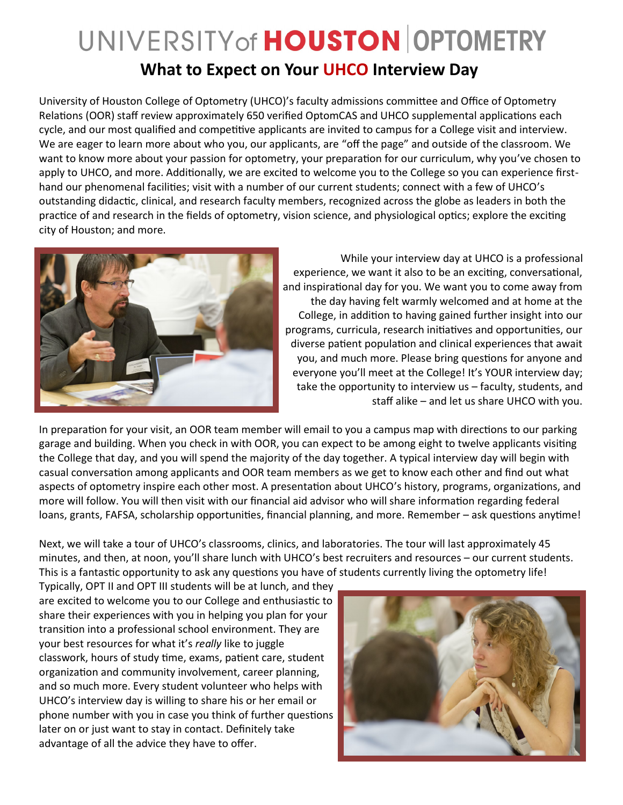## UNIVERSITY of HOUSTON OPTOMETRY **What to Expect on Your UHCO Interview Day**

University of Houston College of Optometry (UHCO)'s faculty admissions committee and Office of Optometry Relations (OOR) staff review approximately 650 verified OptomCAS and UHCO supplemental applications each cycle, and our most qualified and competitive applicants are invited to campus for a College visit and interview. We are eager to learn more about who you, our applicants, are "off the page" and outside of the classroom. We want to know more about your passion for optometry, your preparation for our curriculum, why you've chosen to apply to UHCO, and more. Additionally, we are excited to welcome you to the College so you can experience firsthand our phenomenal facilities; visit with a number of our current students; connect with a few of UHCO's outstanding didactic, clinical, and research faculty members, recognized across the globe as leaders in both the practice of and research in the fields of optometry, vision science, and physiological optics; explore the exciting city of Houston; and more.



While your interview day at UHCO is a professional experience, we want it also to be an exciting, conversational, and inspirational day for you. We want you to come away from the day having felt warmly welcomed and at home at the College, in addition to having gained further insight into our programs, curricula, research initiatives and opportunities, our diverse patient population and clinical experiences that await you, and much more. Please bring questions for anyone and everyone you'll meet at the College! It's YOUR interview day; take the opportunity to interview us – faculty, students, and staff alike – and let us share UHCO with you.

In preparation for your visit, an OOR team member will email to you a campus map with directions to our parking garage and building. When you check in with OOR, you can expect to be among eight to twelve applicants visiting the College that day, and you will spend the majority of the day together. A typical interview day will begin with casual conversation among applicants and OOR team members as we get to know each other and find out what aspects of optometry inspire each other most. A presentation about UHCO's history, programs, organizations, and more will follow. You will then visit with our financial aid advisor who will share information regarding federal loans, grants, FAFSA, scholarship opportunities, financial planning, and more. Remember – ask questions anytime!

Next, we will take a tour of UHCO's classrooms, clinics, and laboratories. The tour will last approximately 45 minutes, and then, at noon, you'll share lunch with UHCO's best recruiters and resources – our current students. This is a fantastic opportunity to ask any questions you have of students currently living the optometry life!

Typically, OPT II and OPT III students will be at lunch, and they are excited to welcome you to our College and enthusiastic to share their experiences with you in helping you plan for your transition into a professional school environment. They are your best resources for what it's *really* like to juggle classwork, hours of study time, exams, patient care, student organization and community involvement, career planning, and so much more. Every student volunteer who helps with UHCO's interview day is willing to share his or her email or phone number with you in case you think of further questions later on or just want to stay in contact. Definitely take advantage of all the advice they have to offer.